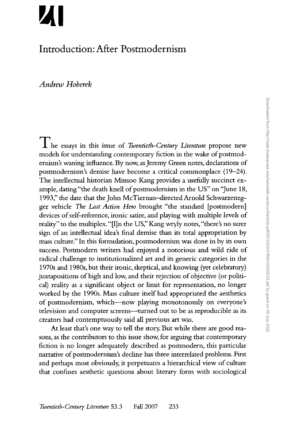# *m*

# Introduction: After Postmodernism

## *Andrew Hoberek*

 $\Gamma$  he essays in this issue of *Twentieth-Century Literature* propose new models for understanding contemporary fiction in the wake of postmodernism's waning influence. By now, as Jeremy Green notes, declarations of postmodernism's demise have become a critical commonplace (19-24). The intellectual historian Minsoo Kang provides a usefully succinct example, dating "the death knell of postmodernism in the US" on "June 18, 1993," the date that the John McTiernan-directed Arnold Schwarzenegger vehicle *The Last Action Hero* brought "the standard [postmodern] devices of self-reference, ironic satire, and playing with multiple levels of reality" to the multiplex." [I]n the US," Kang wryly notes,"there's no surer sign of an intellectual idea's final demise than its total appropriation by mass culture." In this formulation, postmodernism was done in by its own success. Postmodern writers had enjoyed a notorious and wild ride of radical challenge to institutionalized art and its generic categories in the 1970s and 1980s, but their ironic, skeptical, and knowing (yet celebratory) juxtapositions of high and low, and their rejection of objective (or political) reality as a significant object or limit for representation, no longer worked by the 1990s. Mass culture itself had appropriated the aesthetics of postmodernism, which—now playing monotonously on everyone's television and computer screens—turned out to be as reproducible as its creators had contemptuously said all previous art was.

At least that's one way to tell the story. But while there are good reasons, as the contributors to this issue show, for arguing that contemporary fiction is no longer adequately described as postmodern, this particular narrative of postmodernism's decline has three interrelated problems. First and perhaps most obviously, it perpetuates a hierarchical view of culture that confuses aesthetic questions about literary form with sociological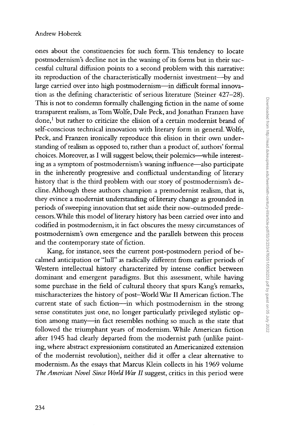#### Andrew Hoberek

ones about the constituencies for such form. This tendency to locate postmodernism's decline not in the waning of its forms but in their successful cultural diffusion points to a second problem with this narrative: its reproduction of the characteristically modernist investment—by and large carried over into high postmodernism— in difficult formal innovation as the defining characteristic of serious literature (Steiner 427–28). This is not to condemn formally challenging fiction in the name of some transparent realism, as Tom Wolfe, Dale Peck, and Jonathan Franzen have done,<sup>1</sup> but rather to criticize the elision of a certain modernist brand of self-conscious technical innovation with literary form in general. Wolfe, Peck, and Franzen ironically reproduce this elision in their own understanding of realism as opposed to, rather than a product of, authors' formal choices. Moreover, as I will suggest below, their polemics— while interesting as a symptom of postmodernism's waning influence—also participate in the inherently progressive and conflictual understanding of literary history that is the third problem with our story of postmodernism's decline. Although these authors champion a premodernist realism, that is, they evince a modernist understanding of literary change as grounded in periods of sweeping innovation that set aside their now-outmoded predecessors. While this model of literary history has been carried over into and codified in postmodernism, it in fact obscures the messy circumstances of postmodernism's own emergence and the parallels between this process and the contemporary state of fiction.

Kang, for instance, sees the current post-postmodern period of becalmed anticipation or "lull" as radically different from earlier periods of Western intellectual history characterized by intense conflict between dominant and emergent paradigms. But this assessment, while having some purchase in the field of cultural theory that spurs Kang's remarks, mischaracterizes the history of post-World War II American fiction. The current state of such fiction—in which postmodernism in the strong sense constitutes just one, no longer particularly privileged stylistic option among many—in fact resembles nothing so much as the state that followed the triumphant years of modernism. While American fiction after 1945 had clearly departed from the modernist path (unlike painting, where abstract expressionism constituted an Americanized extension of the modernist revolution), neither did it offer a clear alternative to modernism. As the essays that Marcus Klein collects in his 1969 volume *The American Novel Since World War II* suggest, critics in this period were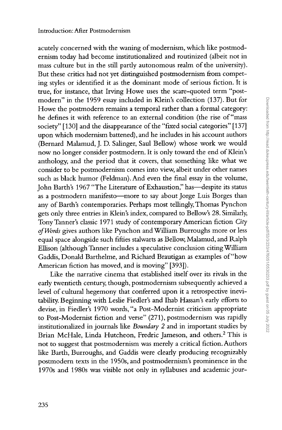acutely concerned with the waning of modernism, which like postmodernism today had become institutionalized and routinized (albeit not in mass culture but in the still partly autonomous realm of the university). But these critics had not yet distinguished postmodernism from competing styles or identified it as the dominant mode of serious fiction. It is true, for instance, that Irving Howe uses the scare-quoted term "postmodern" in the 1959 essay included in Klein's collection (137). But for Howe the postmodern remains a temporal rather than a formal category: he defines it with reference to an external condition (the rise of "mass" society" [130] and the disappearance of the "fixed social categories" [137] upon which modernism battened), and he includes in his account authors (Bernard Malamud, J. D. Salinger, Saul Bellow) whose work we would now no longer consider postmodern. It is only toward the end of Klein's anthology, and the period that it covers, that something like what we consider to be postmodernism comes into view, albeit under other names such as black humor (Feldman). And even the final essay in the volume, John Barth's 1967 "The Literature of Exhaustion," has despite its status as a postmodern manifesto—more to say about Jorge Luis Borges than any of Barth's contemporaries. Perhaps most tellingly, Thomas Pynchon gets only three entries in Klein's index, compared to Bellow's 28. Similarly, Tony Tanner's classic 1971 study of contemporary American fiction *City of Words* gives authors like Pynchon and William Burroughs more or less equal space alongside such fifties stalwarts as Bellow, Malamud, and Ralph Ellison (although Tanner includes a speculative conclusion citing William Gaddis, Donald Barthelme, and Richard Brautigan as examples of "how American fiction has moved, and is moving" [393]).

Like the narrative cinema that established itself over its rivals in the early twentieth century, though, postmodernism subsequently achieved a level of cultural hegemony that conferred upon it a retrospective inevitability. Beginning with Leslie Fiedler's and Ihab Hassan's early efforts to devise, in Fiedler's 1970 words, "a Post-Modernist criticism appropriate to Post-Modernist fiction and verse" (271), postmodernism was rapidly institutionalized in journals like *Boundary 2* and in important studies by Brian McHale, Linda Hutcheon, Fredric Jameson, and others.<sup>2</sup> This is not to suggest that postmodernism was merely a critical fiction. Authors like Barth, Burroughs, and Gaddis were clearly producing recognizably postmodern texts in the 1950s, and postmodernism's prominence in the 1970s and 1980s was visible not only in syllabuses and academic jour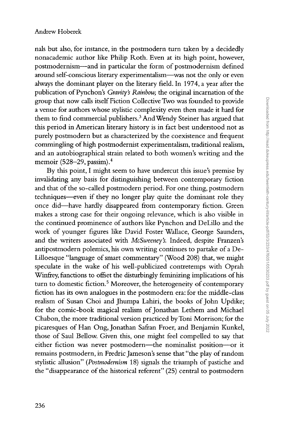nals but also, for instance, in the postmodern turn taken by a decidedly nonacademic author like Philip Roth. Even at its high point, however, postmodernism—and in particular the form of postmodernism defined around self-conscious literary experimentalism— was not the only or even always the dominant player on the literary field. In 1974, a year after the publication of Pynchon's *Gravity's Rainbow*, the original incarnation of the group that now calls itself Fiction Collective Two was founded to provide a venue for authors whose stylistic complexity even then made it hard for them to find commercial publishers.<sup>3</sup> And Wendy Steiner has argued that this period in American literary history is in fact best understood not as purely postmodern but as characterized by the coexistence and frequent commingling of high postmodernist experimentalism, traditional realism, and an autobiographical strain related to both women's writing and the memoir  $(528-29,$  passim).<sup>4</sup>

By this point, I might seem to have undercut this issue's premise by invalidating any basis for distinguishing between contemporary fiction and that of the so-called postmodern period. For one thing, postmodern techniques—even if they no longer play quite the dominant role they once did—have hardly disappeared from contemporary fiction. Green makes a strong case for their ongoing relevance, w hich is also visible in the continued prominence of authors like Pynchon and DeLillo and the work of younger figures like David Foster Wallace, George Saunders, and the writers associated with *McSweeney's*. Indeed, despite Franzen's antipostmodern polemics, his own writing continues to partake of a De-Lilloesque "language of smart commentary" (Wood 208) that, we might speculate in the wake of his well-publicized contretemps with Oprah Winfrey, functions to offset the disturbingly feminizing implications of his turn to domestic fiction.<sup>5</sup> Moreover, the heterogeneity of contemporary fiction has its own analogues in the postmodern era: for the middle-class realism of Susan Choi and Jhumpa Lahiri, the books of John Updike; for the comic-book magical realism of Jonathan Lethem and Michael Chabon, the more traditional version practiced by Toni Morrison; for the picaresques of Han Ong, Jonathan Safran Froer, and Benjamin Kunkel, those of Saul Bellow. Given this, one might feel compelled to say that either fiction was never postmodern—the nominalist position—or it remains postmodern, in Fredric Jameson's sense that "the play of random stylistic allusion" *(Postmodernism* 18) signals the triumph of pastiche and the "disappearance of the historical referent" (25) central to postmodern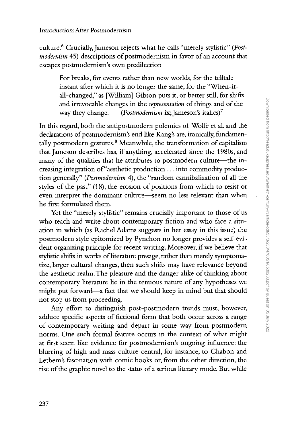culture.6 Crucially, Jameson rejects w hat he calls "merely stylistic" (*Postmodernism* 45) descriptions of postmodernism in favor of an account that escapes postmodernism's own predilection

For breaks, for events rather than new worlds, for the telltale instant after which it is no longer the same; for the "When-itall-changed," as [William] Gibson puts it, or better still, for shifts and irrevocable changes in the *representation* of things and of the way they change. *(Postmodernism* ix; Jameson's italics)<sup>7</sup>

In this regard, both the antipostmodern polemics of Wolfe et al. and the declarations of postmodernism's end like Kang's are, ironically, fundamentally postmodern gestures.<sup>8</sup> Meanwhile, the transformation of capitalism that Jameson describes has, if anything, accelerated since the 1980s, and many of the qualities that he attributes to postmodern culture—the increasing integration of "aesthetic production ... into commodity production generally" *(Postmodernism 4)*, the "random cannibalization of all the styles of the past" (18), the erosion of positions from which to resist or even interpret the dominant culture— seem no less relevant than when he first formulated them.

Yet the "merely stylistic" remains crucially important to those of us who teach and write about contemporary fiction and who face a situation in which (as R achel Adams suggests in her essay in this issue) the postm odern style epitomized by Pynchon no longer provides a self-evident organizing principle for recent writing. Moreover, if we believe that stylistic shifts in works of literature presage, rather than merely symptomatize, larger cultural changes, then such shifts may have relevance beyond the aesthetic realm. The pleasure and the danger alike of thinking about contemporary literature lie in the tenuous nature of any hypotheses we might put forward—a fact that we should keep in mind but that should not stop us from proceeding.

Any effort to distinguish post-postmodern trends must, however, adduce specific aspects of fictional form that both occur across a range of contemporary writing and depart in some way from postmodern norms. One such formal feature occurs in the context of what might at first seem like evidence for postmodernism's ongoing influence: the blurring of high and mass culture central, for instance, to Chabon and Lethem's fascination with comic books or, from the other direction, the rise of the graphic novel to the status of a serious literary mode. But while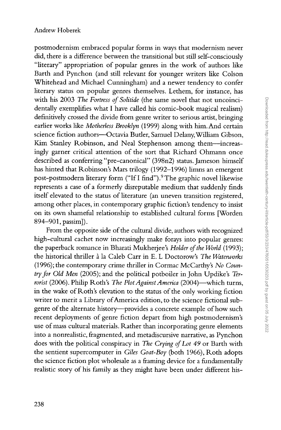postmodernism embraced popular forms in ways that modernism never did, there is a difference between the transitional but still self-consciously "literary" appropriation of popular genres in the work of authors like Barth and Pynchon (and still relevant for younger writers like Colson W hitehead and Michael Cunningham) and a newer tendency to confer literary status on popular genres themselves. Lethem, for instance, has with his 2003 *The Fortress of Solitide* (the same novel that not uncoincidentally exemplifies what I have called his comic-book magical realism) definitively crossed the divide from genre writer to serious artist, bringing earlier works like *Motherless Brooklyn* (1999) along with him. And certain science fiction authors— Octavia Butler, Samuel Delany,William Gibson, Kim Stanley Robinson, and Neal Stephenson among them-increasingly garner critical attention of the sort that Richard Ohmann once described as conferring "pre-canonical" (398n2) status. Jameson himself has hinted that Robinson's Mars trilogy (1992–1996) limns an emergent post-postmodern literary form ("If I find").<sup>9</sup> The graphic novel likewise represents a case of a formerly disreputable medium that suddenly finds itself elevated to the status of literature (an uneven transition registered, among other places, in contemporary graphic fiction's tendency to insist on its own shameful relationship to established cultural forms [Worden 894—901, passim]).

From the opposite side of the cultural divide, authors with recognized high-cultural cachet now increasingly make forays into popular genres: the paperback romance in Bharati Mukherjee's *Holder of the World* (1993); the historical thriller à la Caleb Carr in E. L Doctorow's *The Waterworks* (1996); the contemporary crime thriller in Cormac McCarthy's *No Coun*try for Old Men (2005); and the political potboiler in John Updike's *Terrorist* (2006). Philip Roth's *The Plot Against America* (2004)—which turns, in the wake of Roth's elevation to the status of the only working fiction writer to merit a Library of America edition, to the science fictional subgenre of the alternate history—provides a concrete example of how such recent deployments of genre fiction depart from high postmodernism's use of mass cultural materials. Rather than incorporating genre elements into a nonrealistic, fragmented, and metadiscursive narrative, as Pynchon does with the political conspiracy in *The Crying of Lot 49* or Barth with the sentient supercomputer in *Giles Goat-Boy* (both 1966), Roth adopts the science fiction plot wholesale as a framing device for a fundamentally realistic story of his family as they might have been under different his-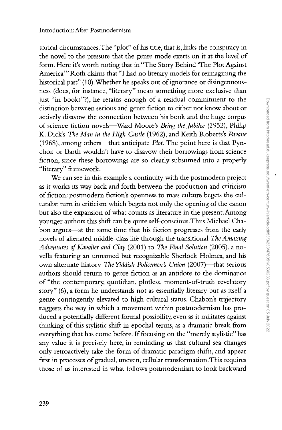torical circumstances. The "plot" of his title, that is, links the conspiracy in the novel to the pressure that the genre mode exerts on it at the level of form. Here it's worth noting that in "The Story Behind 'The Plot Against America'" Roth claims that "I had no literary models for reimagining the historical past" (10). Whether he speaks out of ignorance or disingenuousness (does, for instance, "literary" mean something more exclusive than just "in books"?), he retains enough of a residual commitment to the distinction between serious and genre fiction to either not know about or actively disavow the connection between his book and the huge corpus of science fiction novels—Ward Moore's *Bring the Jubilee* (1952), Philip K. Dick's *The Man in the High Castle* (1962), and Keith Roberts's *Pavane* (1968), among others—that anticipate *Plot*. The point here is that Pynchon or Barth wouldn't have to disavow their borrowings from science fiction, since these borrowings are so clearly subsumed into a properly "literary" framework.

We can see in this example a continuity with the postmodern project as it works its way back and forth between the production and criticism of fiction: postmodern fiction's openness to mass culture begets the culturalist turn in criticism which begets not only the opening of the canon but also the expansion of what counts as literature in the present. Among younger authors this shift can be quite self-conscious. Thus Michael Chabon argues— at the same time that his fiction progresses from the early novels of alienated middle-class life through the transitional *The Amazing Adventures of Kavalier and Clay* (2001) to *The Final Solution* (2005), a novella featuring an unnamed but recognizable Sherlock Holmes, and his own alternate history *The Yiddish Policemen's Union* (2007)— that serious authors should return to genre fiction as an antidote to the dominance of "the contemporary, quotidian, plotless, moment-of-truth revelatory story" (6), a form he understands not as essentially literary but as itself a genre contingently elevated to high cultural status. Chabon's trajectory suggests the way in which a movement within postmodernism has produced a potentially different formal possibility, even as it militates against thinking of this stylistic shift in epochal terms, as a dramatic break from everything that has come before. If focusing on the "merely stylistic" has any value it is precisely here, in reminding us that cultural sea changes only retroactively take the form of dramatic paradigm shifts, and appear first in processes of gradual, uneven, cellular transformation. This requires those of us interested in what follows postmodernism to look backward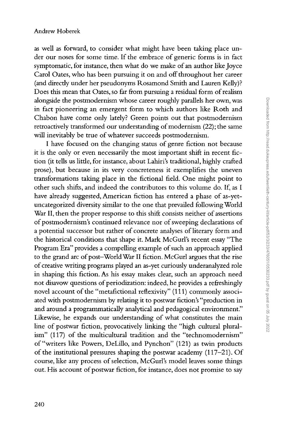Downloaded from http://read.dukeupress.edu/twentieth-century-lit/article-pdf/53/3/37476051/0530233.pdf by guest on 05 July 2022 Downloaded from http://read.dukeupress.edu/twentieth-century-lit/article-pdf/53/3/233/476051/0530233.pdf by guest on 05 July 2022

### Andrew Hoberek

as well as forward, to consider what might have been taking place under our noses for some time. If the embrace of generic forms is in fact symptomatic, for instance, then what do we make of an author like Joyce Carol Oates, who has been pursuing it on and off throughout her career (and direcdy under her pseudonyms Rosamond Smith and Lauren Kelly)? Does this mean that Oates, so far from pursuing a residual form of realism alongside the postmodernism whose career roughly parallels her own, was in fact pioneering an emergent form to which authors like Roth and Chabon have come only lately? Green points out that postmodernism retroactively transformed our understanding of modernism (22); the same will inevitably be true of whatever succeeds postmodernism.

I have focused on the changing status of genre fiction not because it is the only or even necessarily the most important shift in recent fiction (it tells us little, for instance, about Lahiri's traditional, highly crafted prose), but because in its very concreteness it exemplifies the uneven transformations taking place in the fictional field. One might point to other such shifts, and indeed the contributors to this volume do. If, as I have already suggested, American fiction has entered a phase of as-yetuncategorized diversity similar to the one that prevailed following World War II, then the proper response to this shift consists neither of assertions of postmodernism's continued relevance nor of sweeping declarations of a potential successor but rather of concrete analyses of literary form and the historical conditions that shape it. Mark McGurl's recent essay "The Program Era" provides a compelling example of such an approach applied to the grand arc of post-World War II fiction. McGurl argues that the rise of creative writing programs played an as-yet curiously underanalyzed role in shaping this fiction. As his essay makes clear, such an approach need not disavow questions of periodization: indeed, he provides a refreshingly novel account of the "metafictional reflexivity" (111) commonly associated with postmodernism by relating it to postwar fiction's "production in and around a programmatically analytical and pedagogical environment." Likewise, he expands our understanding of what constitutes the main line of postwar fiction, provocatively linking the "high cultural pluralism" (117) of the multicultural tradition and the "technomodernism" of "writers like Powers, DeLillo, and Pynchon" (121) as twin products of the institutional pressures shaping the postwar academy  $(117-21)$ . Of course, like any process of selection, McGurl's model leaves some things out. His account of postwar fiction, for instance, does not promise to say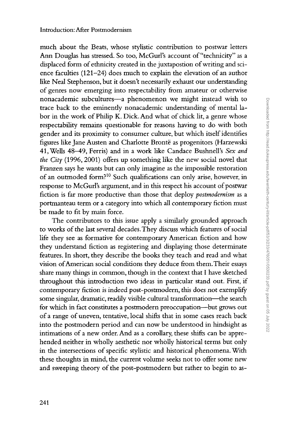much about the Beats, whose stylistic contribution to postwar letters Ann Douglas has stressed. So too, McGurl's account of "technicity" as a displaced form of ethnicity created in the juxtapostion of writing and science faculties  $(121-24)$  does much to explain the elevation of an author like Neal Stephenson, but it doesn't necessarily exhaust our understanding of genres now emerging into respectability from amateur or otherwise nonacademic subcultures—a phenomenon we might instead wish to trace back to the eminently nonacademic understanding of mental labor in the work of Philip K. Dick. And what of chick lit, a genre whose respectability remains questionable for reasons having to do with both gender and its proximity to consumer culture, but which itself identifies figures like Jane Austen and Charlotte Brontë as progenitors (Harzewski 41, Wells 48—49, Ferris) and in a work like Candace Bushnell's *Sex and the City* (1996, 2001) offers up something like the new social novel that Franzen says he wants but can only imagine as the impossible restoration of an outmoded form?<sup>10</sup> Such qualifications can only arise, however, in response to McGurl's argument, and in this respect his account of postwar fiction is far more productive than those that deploy *postmodernism* as a portmanteau term or a category into which all contemporary fiction must be made to fit by main force.

The contributors to this issue apply a similarly grounded approach to works of the last several decades. They discuss which features of social life they see as formative for contemporary American fiction and how they understand fiction as registering and displaying those determinate features. In short, they describe the books they teach and read and what vision of American social conditions they deduce from them. Their essays share many things in common, though in the context that I have sketched throughout this introduction two ideas in particular stand out. First, if contemporary fiction is indeed post-postmodern, this does not exemplify some singular, dramatic, readily visible cultural transformation— the search for which in fact constitutes a postmodern preoccupation— but grows out of a range of uneven, tentative, local shifts that in some cases reach back into the postmodern period and can now be understood in hindsight as intimations of a new order. And as a corollary, these shifts can be apprehended neither in wholly aesthetic nor wholly historical terms but only in the intersections of specific stylistic and historical phenomena. With these thoughts in mind, the current volume seeks not to offer some new and sweeping theory of the post-postmodern but rather to begin to as-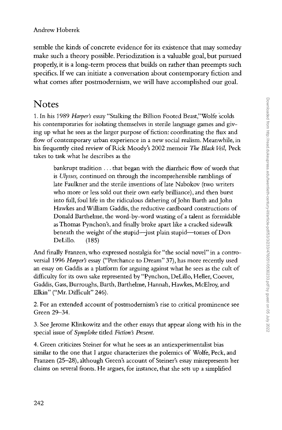## Andrew Hoberek

semble the kinds of concrete evidence for its existence that may someday make such a theory possible. Periodization is a valuable goal, but pursued properly, it is a long-term process that builds on rather than preempts such specifics. If we can initiate a conversation about contemporary fiction and what comes after postmodernism, we will have accomplished our goal.

## Notes

1. In his 1989 *Harper's* essay "Stalking the Billion Footed Beast," Wolfe scolds his contemporaries for isolating themselves in sterile language games and giving up what he sees as the larger purpose of fiction: coordinating the flux and flow of contemporary urban experience in a new social realism. Meanwhile, in his frequently cited review of Rick Moody's 2002 memoir *The Black Veil,* Peck takes to task what he describes as the

bankrupt tradition ... that began with the diarrheic flow of words that is *Ulysses,* continued on through the incomprehensible ramblings of late Faulkner and the sterile inventions of late Nabokov (two writers who more or less sold out their own early brilliance), and then burst into full, foul life in the ridiculous dithering of John Barth and John Hawkes and William Gaddis, the reductive cardboard constructions of Donald Barthelme, the word-by-word wasting of a talent as formidable as Thomas Pynchon's, and finally broke apart like a cracked sidewalk beneath the weight of the stupid—just plain stupid—tomes of Don DeLillo. (185)

And finally Franzen, who expressed nostalgia for "the social novel" in a controversial 1996 *Harper's* essay ("Perchance to Dream" 37), has more recently used an essay on Gaddis as a platform for arguing against what he sees as the cult of difficulty for its own sake represented by "Pynchon, DeLillo, Heller, Coover, Gaddis, Gass, Burroughs, Barth, Barthelme, Hannah, Hawkes, McElroy, and Elkin" ("Mr. Difficult" 246).

2. For an extended account of postmodernism's rise to critical prominence see Green 29-34.

3. See Jerome Klinkowitz and the other essays that appear along with his in the special issue of *Symploke* titled *Fiction's Present.*

4. Green criticizes Steiner for what he sees as an antiexperimentalist bias similar to the one that I argue characterizes the polemics of Wolfe, Peck, and Franzen (25—28), although Green's account of Steiner's essay misrepresents her claims on several fronts. He argues, for instance, that she sets up a simplified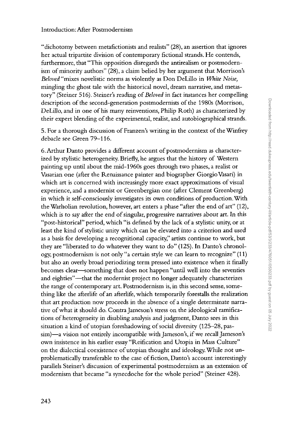"dichotomy between metafictionists and realists" (28), an assertion that ignores her actual tripartite division of contemporary fictional strands. He contends, furthermore, that "This opposition disregards the antirealism or postmodernism of minority authors" (28), a claim belied by her argument that Morrison's *Beloved* "mixes novelistic norms as violently as Don DeLillo in *White Noise,* mingling the ghost tale with the historical novel, dream narrative, and metastory" (Steiner 516). Steiner's reading of *Beloved* in fact instances her compelling description of the second-generation postmodernists of the 1980s (Morrison, DeLillo, and in one of his many reinventions, Philip Roth) as characterized by their expert blending of the experimental, realist, and autobiographical strands.

5. For a thorough discussion of Franzen's writing in the context of the Winfrey debacle see Green 79—116.

6. Arthur Danto provides a different account of postmodernism as characterized by stylistic heterogeneity. Briefly, he argues that the history of Western painting up until about the mid-1960s goes through two phases, a realist or Vasarian one (after the Renaissance painter and biographer Giorgio Vasari) in which art is concerned with increasingly more exact approximations of visual experience, and a modernist or Greenbergian one (after Clement Greenberg) in which it self-consciously investigates its own conditions of production. With the Warholian revolution, however, art enters a phase "after the end of art" (12), which is to say after the end of singular, progressive narratives about art. In this "post-historical" period, which "is defined by the lack of a stylistic unity, or at least the kind of stylistic unity which can be elevated into a criterion and used as a basis for developing a recognitional capacity," artists continue to work, but they are "liberated to do whatever they want to do" (125). In Danto's chronology, postmodernism is not only "a certain style we can learn to recognize" (11) but also an overly broad periodizing term pressed into existence when it finally becomes clear—something that does not happen "until well into the seventies and eighties"—that the modernist project no longer adequately characterizes the range of contemporary art. Postmodernism is, in this second sense, something like the afterlife of an afterlife, which temporarily forestalls the realization that art production now proceeds in the absence of a single determinate narrative of what it should do. Contra Jameson's stress on the ideological ramifications of heterogeneity in disabling analysis and judgment, Danto sees in this situation a kind of utopian foreshadowing of social diversity (125—28, passim)—a vision not entirely incompatible with Jameson's, if we recall Jameson's own insistence in his earlier essay "Reification and Utopia in Mass Culture" on the dialectical coexistence of utopian thought and ideology. While not unproblematically transferable to the case of fiction, Danto's account interestingly parallels Steiner's discussion of experimental postmodernism as an extension of modernism that became "a synecdoche for the whole period" (Steiner 428).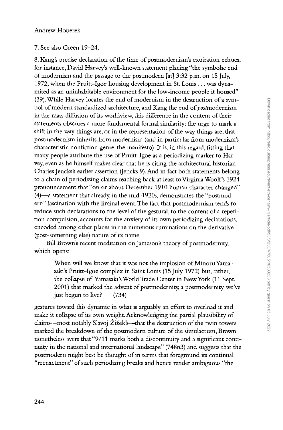## Andrew Hoberek

#### 7. See also Green 19—24.

8. Kang's precise declaration of the time of postmodernism's expiration echoes, for instance, David Harvey's well-known statement placing "the symbolic end of modernism and the passage to the postmodern [at] 3:32 p.m. on 15 July, 1972, when the Pruitt-Igoe housing development in St. Louis ... was dynamited as an uninhabitable environment for the low-income people it housed" (39). While Harvey locates the end of modernism in the destruction of a symbol of modern standardized architecture, and Kang the end of postmodernism in the mass diffusion of its worldview, this difference in the content of their statements obscures a more fundamental formal similarity: the urge to mark a shift in the way things are, or in the representation of the way things are, that postmodernism inherits from modernism (and in particular from modernism's characteristic nonfiction genre, the manifesto). It is, in this regard, fitting that many people attribute the use of Pruitt-Igoe as a periodizing marker to Harvey, even as he himself makes clear that he is citing the architectural historian Charles Jencks's earlier assertion (Jencks 9). And in fact both statements belong to a chain of periodizing claims reaching back at least to Virginia Woolf's 1924 pronouncement that "on or about December 1910 human character changed" (4)—a statement that already, in the mid-1920s, demonstrates the "postmodern" fascination with the liminal event. The fact that postmodernism tends to reduce such declarations to the level of the gestural, to the content of a repetition compulsion, accounts for the anxiety of its own periodizing declarations, encoded among other places in the numerous ruminations on the derivative (post-something else) nature of its name.

Bill Brown's recent meditation on Jameson's theory of postmodernity, which opens:

When will we know that it was not the implosion of Minoru Yamasaki's Pruitt-Igoe complex in Saint Louis (15 July 1972) but, rather, the collapse of Yamasaki's World Trade Center in New York (11 Sept. 2001) that marked the advent of postmodernity, a postmodernity we've just begun to live? (734)

gestures toward this dynamic in what is arguably an effort to overload it and make it collapse of its own weight. Acknowledging the partial plausibility of claims—most notably Slavoj Zizek's—that the destruction of the twin towers marked the breakdown of the postmodern culture of the simulacrum, Brown nonetheless avers that "9/11 marks both a discontinuity and a significant continuity in the national and international landscape" (748n3) and suggests that the postmodern might best be thought of in terms that foreground its continual "reenactment" of such periodizing breaks and hence render ambiguous "the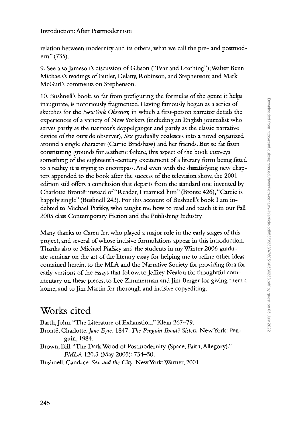### Introduction: After Postmodernism

relation between modernity and its others, what we call the pre- and postmodern" (735).

9. See also Jameson's discussion of Gibson ("Fear and Loathing"); Walter Benn Michaels's readings of Butler, Delany, Robinson, and Stephenson; and Mark McGurl's comments on Stephenson.

10. Bushnell's book, so far from prefiguring the formulas of the genre it helps inaugurate, is notoriously fragmented. Having famously begun as a series of sketches for the *New York Observer,* in which a first-person narrator details the experiences of a variety of New Yorkers (including an English journalist who serves partly as the narrator's doppelganger and partly as the classic narrative device of the outside observer), *Sex* gradually coalesces into a novel organized around a single character (Carrie Bradshaw) and her friends. But so far from constituting grounds for aesthetic failure, this aspect of the book conveys something of the eighteenth-century excitement of a literary form being fitted to a reality it is trying to encompass. And even with the dissatisfying new chapters appended to the book after the success of the television show, the 2001 edition still offers a conclusion that departs from the standard one invented by Charlotte Bronte: instead of "Reader, I married him" (Bronte 426), "Carrie is happily single" (Bushnell 243). For this account of Bushnell's book I am indebted to Michael Piafsky, who taught me how to read and teach it in our Fall 2005 class Contemporary Fiction and the Publishing Industry.

Many thanks to Caren Irr, who played a major role in the early stages of this project, and several of whose incisive formulations appear in this introduction. Thanks also to Michael Piafsky and the students in my Winter 2006 graduate seminar on the art of the literary essay for helping me to refine other ideas contained herein, to the MLA and the Narrative Society for providing fora for early versions of the essays that follow, to Jeffrey Nealon for thoughtful commentary on these pieces, to Lee Zimmerman and Jim Berger for giving them a home, and to Jim Martin for thorough and incisive copyediting.

## Works cited

Barth, John. "The Literature of Exhaustion." Klein 267—79.

- Brontë, Charlotte. *Jane Eyre.* 1847. *The Penguin Brontë Sisters*. New York: Penguin, 1984.
- Brown, Bill. "The Dark Wood of Postmodernity (Space, Faith, Allegory)." *PMLA* 120.3 (May 2005): 734-50.

Bushnell, Candace. *Sex and the City.* New York: Warner, 2001.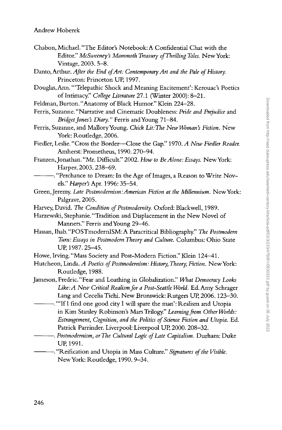- Chabon, Michael. "The Editor's Notebook: A Confidential Chat with the Editor." *McSweeney's Mammoth Treasury of Thrilling Tales.* New York: Vintage, 2003. 5-8.
- Danto, Arthur. *After the End of Art: Contemporary Art and the Pale of History.* Princeton: Princeton UP, 1997.
- Douglas, Ann. '"Telepathic Shock and Meaning Excitement': Kerouac's Poetics of Intimacy." *College Literature 27.1* (Winter 2000): 8-21.
- Feldman, Burton. "Anatomy of Black Humor." Klein 224-28.
- Ferris, Suzanne. "Narrative and Cinematic Doubleness: *Pride and Prejudice* and *Bridget Jones's Diary."* Ferris andYoung 71—84.
- Ferris, Suzanne, and Mallory Young. *Chick Lit:The New Woman's Fiction.* New York: Routledge, 2006.
- Fiedler, Leslie. "Cross the Border—Close the Gap." 1970. *A New Fiedler Reader.* Amherst: Prometheus, 1990. 270-94.
- Franzen, Jonathan. "Mr. Difficult." 2002. *How to Be Alone: Essays.* New York: Harper, 2003. 238-69.
	- ---------."Perchance to Dream: In the Age of Images, a Reason to Write Novels." *Harper's* Apr. 1996:35-54.
- Green, Jeremy. Late Postmodernism: American Fiction at the Millennium. New York: Palgrave, 2005.
- Harvey, David. *The Condition of Postmodernity.* Oxford: Blackwell, 1989.
- Harzewski, Stephanie. "Tradition and Displacement in the New Novel of Manners." Ferris andYoung 29—46.
- Hassan, Ihab."POSTmodernISM: A Paracritical Bibliography." *The Postmodern Turn: Essays in Postmodern Theory and Culture.* Columbus: Ohio State UP, 1987.25-45.
- Howe, Irving. "Mass Society and Post-Modern Fiction." Klein 124-41.
- Hutcheon, Linda. *A Poetics of Postmodernism: History, Theory, Fiction.* New York: Routledge, 1988.
- Jameson, Fredric."Fear and Loathing in Globalization." *What Democracy Looks Like: A New Critical Realism for a Post-Seattle World.* Ed. Amy Schrager Lang and Cecelia Tichi. New Brunswick: Rutgers UP, 2006.123-30.
	- --------- .'"If I find one good city I will spare the man': Realism and Utopia in Kim Stanley Robinson's Mars Trilogy." *Learning from Other Worlds: Estrangement, Cognition, and the Politics of Science Fiction and Utopia.* Ed. Patrick Parrinder. Liverpool: Liverpool UP, 2000.208—32.
	- ---------. *Postmodernism, or The Cultural Logic of Late Capitalism.* Durham: Duke UP, 1991.
	- ----<sup>"</sup>Reification and Utopia in Mass Culture." *Signatures of the Visible*. New York: Routledge, 1990.9—34.